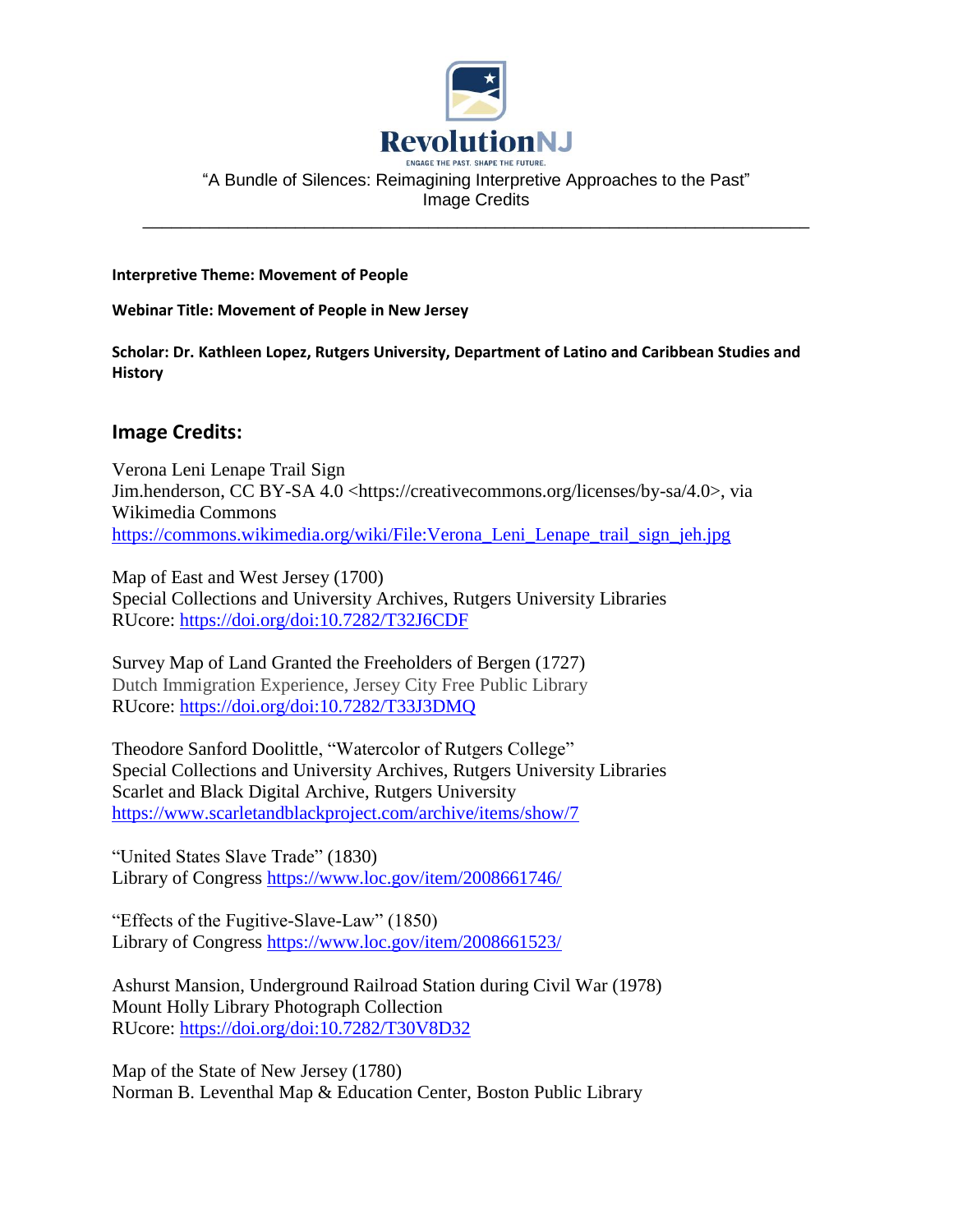

"A Bundle of Silences: Reimagining Interpretive Approaches to the Past" Image Credits

\_\_\_\_\_\_\_\_\_\_\_\_\_\_\_\_\_\_\_\_\_\_\_\_\_\_\_\_\_\_\_\_\_\_\_\_\_\_\_\_\_\_\_\_\_\_\_\_\_\_\_\_\_\_\_\_\_\_\_\_\_\_\_\_\_\_\_\_\_\_

**Interpretive Theme: Movement of People**

**Webinar Title: Movement of People in New Jersey**

**Scholar: Dr. Kathleen Lopez, Rutgers University, Department of Latino and Caribbean Studies and History**

## **Image Credits:**

Verona Leni Lenape Trail Sign Jim.henderson, CC BY-SA 4.0 <https://creativecommons.org/licenses/by-sa/4.0>, via Wikimedia Commons [https://commons.wikimedia.org/wiki/File:Verona\\_Leni\\_Lenape\\_trail\\_sign\\_jeh.jpg](https://commons.wikimedia.org/wiki/File:Verona_Leni_Lenape_trail_sign_jeh.jpg)

Map of East and West Jersey (1700) Special Collections and University Archives, Rutgers University Libraries RUcore: <https://doi.org/doi:10.7282/T32J6CDF>

Survey Map of Land Granted the Freeholders of Bergen (1727) Dutch Immigration Experience, Jersey City Free Public Library RUcore: <https://doi.org/doi:10.7282/T33J3DMQ>

Theodore Sanford Doolittle, "Watercolor of Rutgers College" Special Collections and University Archives, Rutgers University Libraries Scarlet and Black Digital Archive, Rutgers University <https://www.scarletandblackproject.com/archive/items/show/7>

"United States Slave Trade" (1830) Library of Congress<https://www.loc.gov/item/2008661746/>

"Effects of the Fugitive-Slave-Law" (1850) Library of Congress <https://www.loc.gov/item/2008661523/>

Ashurst Mansion, Underground Railroad Station during Civil War (1978) Mount Holly Library Photograph Collection RUcore: <https://doi.org/doi:10.7282/T30V8D32>

Map of the State of New Jersey (1780) Norman B. Leventhal Map & Education Center, Boston Public Library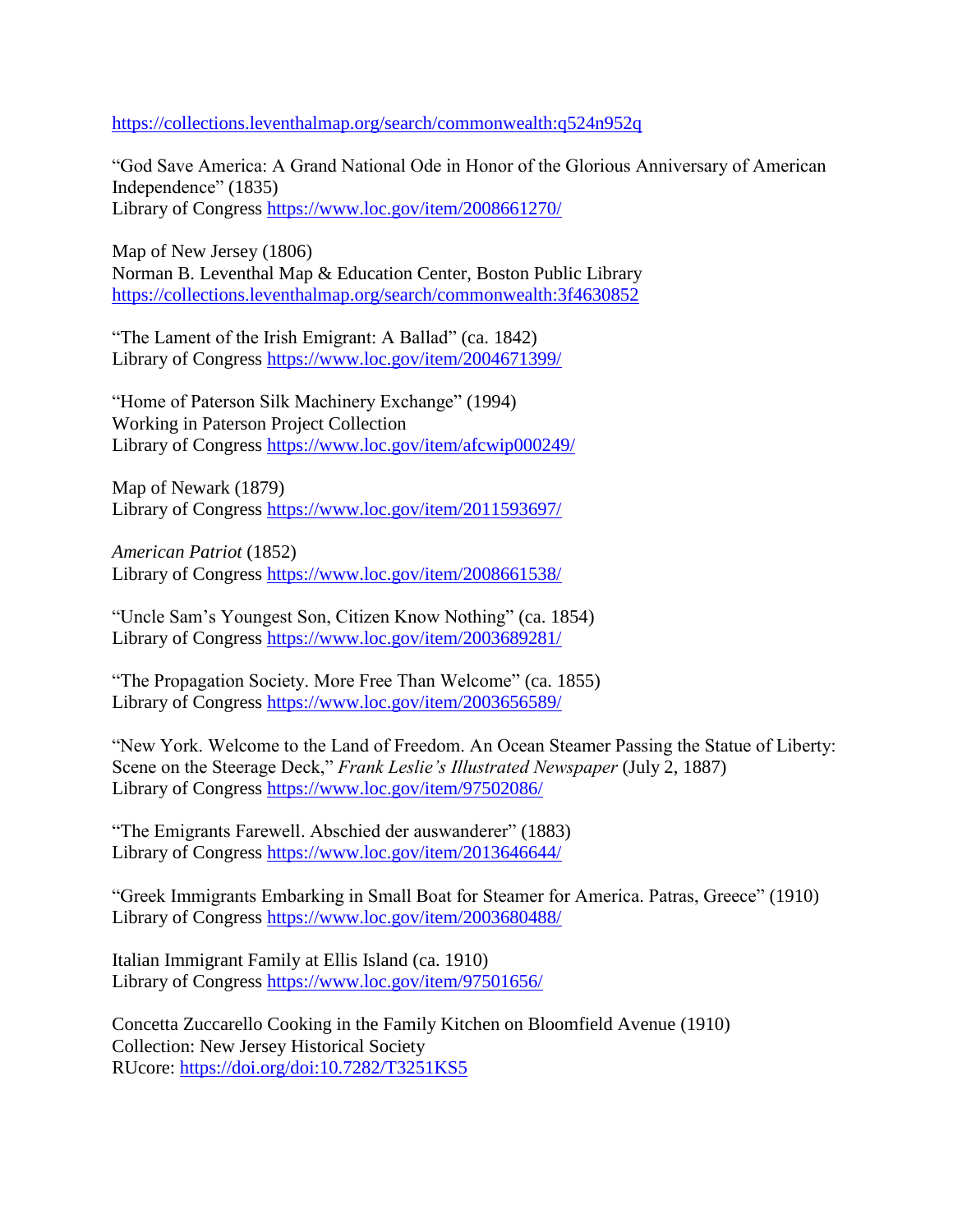<https://collections.leventhalmap.org/search/commonwealth:q524n952q>

"God Save America: A Grand National Ode in Honor of the Glorious Anniversary of American Independence" (1835) Library of Congress<https://www.loc.gov/item/2008661270/>

Map of New Jersey (1806) Norman B. Leventhal Map & Education Center, Boston Public Library <https://collections.leventhalmap.org/search/commonwealth:3f4630852>

"The Lament of the Irish Emigrant: A Ballad" (ca. 1842) Library of Congress<https://www.loc.gov/item/2004671399/>

"Home of Paterson Silk Machinery Exchange" (1994) Working in Paterson Project Collection Library of Congress<https://www.loc.gov/item/afcwip000249/>

Map of Newark (1879) Library of Congress <https://www.loc.gov/item/2011593697/>

*American Patriot* (1852) Library of Congress <https://www.loc.gov/item/2008661538/>

"Uncle Sam's Youngest Son, Citizen Know Nothing" (ca. 1854) Library of Congress <https://www.loc.gov/item/2003689281/>

"The Propagation Society. More Free Than Welcome" (ca. 1855) Library of Congress <https://www.loc.gov/item/2003656589/>

"New York. Welcome to the Land of Freedom. An Ocean Steamer Passing the Statue of Liberty: Scene on the Steerage Deck," *Frank Leslie's Illustrated Newspaper* (July 2, 1887) Library of Congress <https://www.loc.gov/item/97502086/>

"The Emigrants Farewell. Abschied der auswanderer" (1883) Library of Congress <https://www.loc.gov/item/2013646644/>

"Greek Immigrants Embarking in Small Boat for Steamer for America. Patras, Greece" (1910) Library of Congress<https://www.loc.gov/item/2003680488/>

Italian Immigrant Family at Ellis Island (ca. 1910) Library of Congress <https://www.loc.gov/item/97501656/>

Concetta Zuccarello Cooking in the Family Kitchen on Bloomfield Avenue (1910) Collection: New Jersey Historical Society RUcore: <https://doi.org/doi:10.7282/T3251KS5>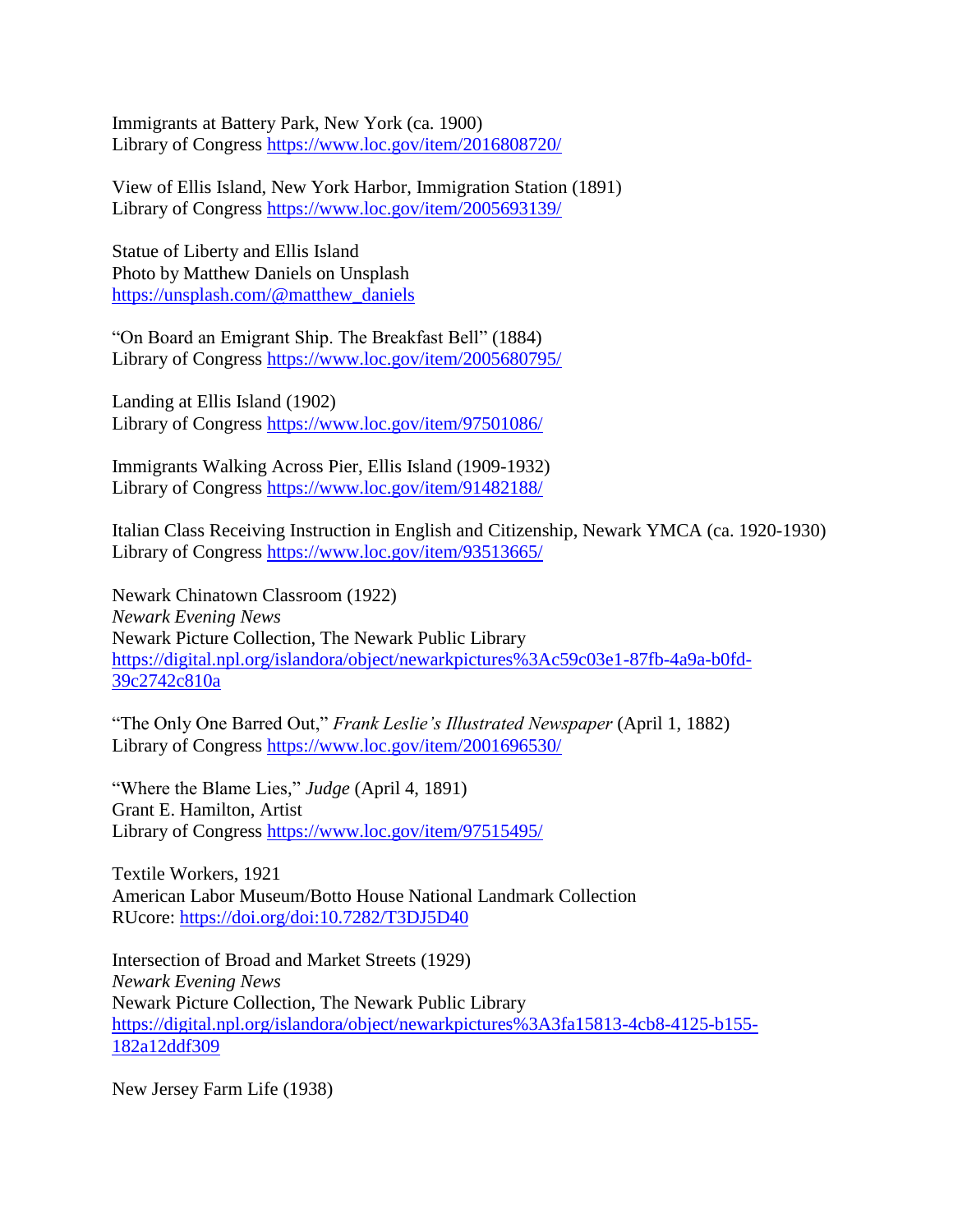Immigrants at Battery Park, New York (ca. 1900) Library of Congress <https://www.loc.gov/item/2016808720/>

View of Ellis Island, New York Harbor, Immigration Station (1891) Library of Congress <https://www.loc.gov/item/2005693139/>

Statue of Liberty and Ellis Island Photo by Matthew Daniels on Unsplash [https://unsplash.com/@matthew\\_daniels](https://unsplash.com/@matthew_daniels)

"On Board an Emigrant Ship. The Breakfast Bell" (1884) Library of Congress <https://www.loc.gov/item/2005680795/>

Landing at Ellis Island (1902) Library of Congress <https://www.loc.gov/item/97501086/>

Immigrants Walking Across Pier, Ellis Island (1909-1932) Library of Congress <https://www.loc.gov/item/91482188/>

Italian Class Receiving Instruction in English and Citizenship, Newark YMCA (ca. 1920-1930) Library of Congress<https://www.loc.gov/item/93513665/>

Newark Chinatown Classroom (1922) *Newark Evening News* Newark Picture Collection, The Newark Public Library [https://digital.npl.org/islandora/object/newarkpictures%3Ac59c03e1-87fb-4a9a-b0fd-](https://digital.npl.org/islandora/object/newarkpictures%3Ac59c03e1-87fb-4a9a-b0fd-39c2742c810a)[39c2742c810a](https://digital.npl.org/islandora/object/newarkpictures%3Ac59c03e1-87fb-4a9a-b0fd-39c2742c810a)

"The Only One Barred Out," *Frank Leslie's Illustrated Newspaper* (April 1, 1882) Library of Congress <https://www.loc.gov/item/2001696530/>

"Where the Blame Lies," *Judge* (April 4, 1891) Grant E. Hamilton, Artist Library of Congress<https://www.loc.gov/item/97515495/>

Textile Workers, 1921 American Labor Museum/Botto House National Landmark Collection RUcore: <https://doi.org/doi:10.7282/T3DJ5D40>

Intersection of Broad and Market Streets (1929) *Newark Evening News* Newark Picture Collection, The Newark Public Library [https://digital.npl.org/islandora/object/newarkpictures%3A3fa15813-4cb8-4125-b155-](https://digital.npl.org/islandora/object/newarkpictures%3A3fa15813-4cb8-4125-b155-182a12ddf309) [182a12ddf309](https://digital.npl.org/islandora/object/newarkpictures%3A3fa15813-4cb8-4125-b155-182a12ddf309)

New Jersey Farm Life (1938)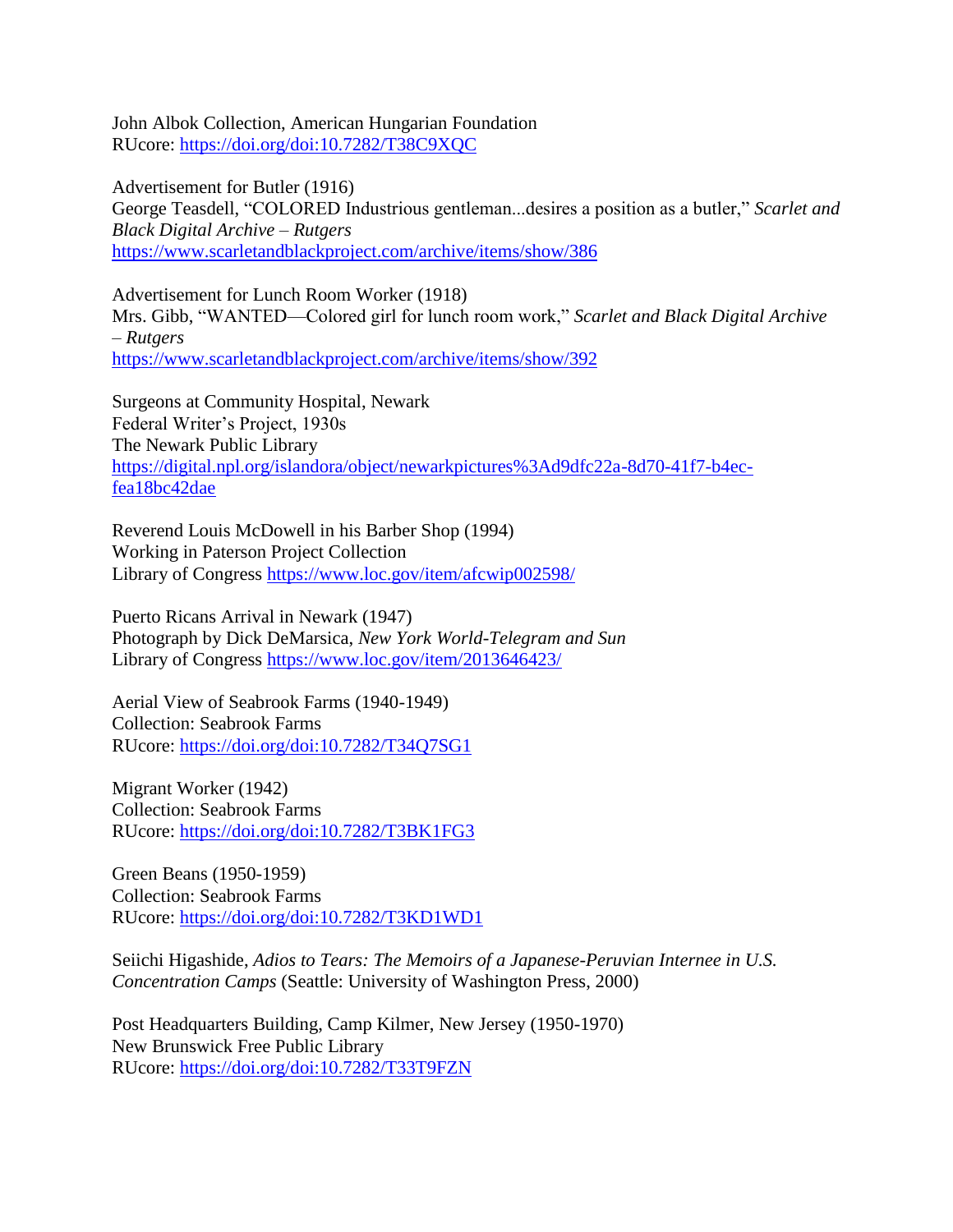John Albok Collection, American Hungarian Foundation RUcore: <https://doi.org/doi:10.7282/T38C9XQC>

Advertisement for Butler (1916) George Teasdell, "COLORED Industrious gentleman...desires a position as a butler," *Scarlet and Black Digital Archive – Rutgers* <https://www.scarletandblackproject.com/archive/items/show/386>

Advertisement for Lunch Room Worker (1918) Mrs. Gibb, "WANTED—Colored girl for lunch room work," *Scarlet and Black Digital Archive – Rutgers* <https://www.scarletandblackproject.com/archive/items/show/392>

Surgeons at Community Hospital, Newark Federal Writer's Project, 1930s The Newark Public Library [https://digital.npl.org/islandora/object/newarkpictures%3Ad9dfc22a-8d70-41f7-b4ec](https://digital.npl.org/islandora/object/newarkpictures%3Ad9dfc22a-8d70-41f7-b4ec-fea18bc42dae)[fea18bc42dae](https://digital.npl.org/islandora/object/newarkpictures%3Ad9dfc22a-8d70-41f7-b4ec-fea18bc42dae)

Reverend Louis McDowell in his Barber Shop (1994) Working in Paterson Project Collection Library of Congress <https://www.loc.gov/item/afcwip002598/>

Puerto Ricans Arrival in Newark (1947) Photograph by Dick DeMarsica, *New York World-Telegram and Sun* Library of Congress<https://www.loc.gov/item/2013646423/>

Aerial View of Seabrook Farms (1940-1949) Collection: Seabrook Farms RUcore: <https://doi.org/doi:10.7282/T34Q7SG1>

Migrant Worker (1942) Collection: Seabrook Farms RUcore: <https://doi.org/doi:10.7282/T3BK1FG3>

Green Beans (1950-1959) Collection: Seabrook Farms RUcore: <https://doi.org/doi:10.7282/T3KD1WD1>

Seiichi Higashide, *Adios to Tears: The Memoirs of a Japanese-Peruvian Internee in U.S. Concentration Camps* (Seattle: University of Washington Press, 2000)

Post Headquarters Building, Camp Kilmer, New Jersey (1950-1970) New Brunswick Free Public Library RUcore: <https://doi.org/doi:10.7282/T33T9FZN>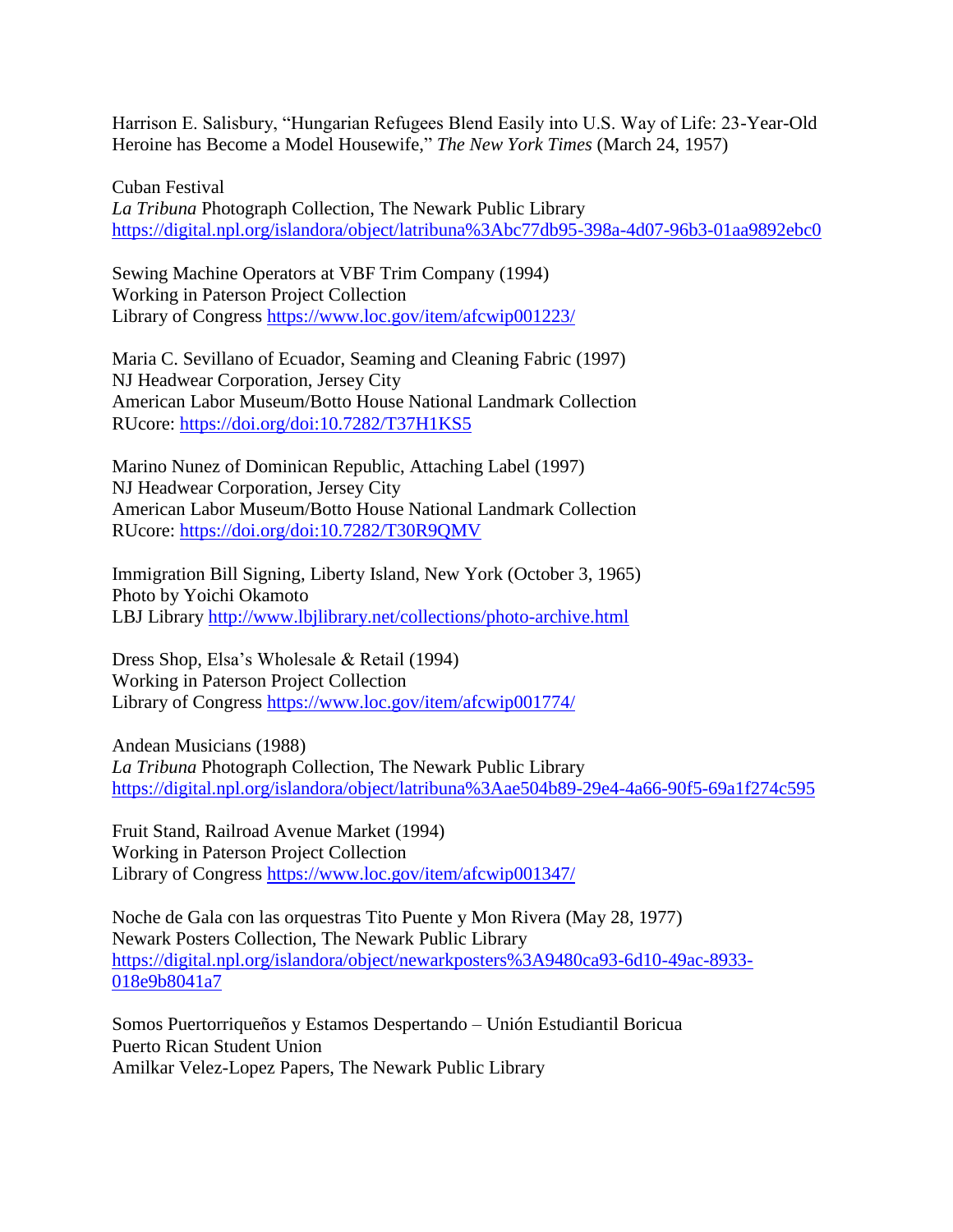Harrison E. Salisbury, "Hungarian Refugees Blend Easily into U.S. Way of Life: 23-Year-Old Heroine has Become a Model Housewife," *The New York Times* (March 24, 1957)

Cuban Festival *La Tribuna* Photograph Collection, The Newark Public Library <https://digital.npl.org/islandora/object/latribuna%3Abc77db95-398a-4d07-96b3-01aa9892ebc0>

Sewing Machine Operators at VBF Trim Company (1994) Working in Paterson Project Collection Library of Congress <https://www.loc.gov/item/afcwip001223/>

Maria C. Sevillano of Ecuador, Seaming and Cleaning Fabric (1997) NJ Headwear Corporation, Jersey City American Labor Museum/Botto House National Landmark Collection RUcore: <https://doi.org/doi:10.7282/T37H1KS5>

Marino Nunez of Dominican Republic, Attaching Label (1997) NJ Headwear Corporation, Jersey City American Labor Museum/Botto House National Landmark Collection RUcore: <https://doi.org/doi:10.7282/T30R9QMV>

Immigration Bill Signing, Liberty Island, New York (October 3, 1965) Photo by Yoichi Okamoto LBJ Library<http://www.lbjlibrary.net/collections/photo-archive.html>

Dress Shop, Elsa's Wholesale & Retail (1994) Working in Paterson Project Collection Library of Congress <https://www.loc.gov/item/afcwip001774/>

Andean Musicians (1988) *La Tribuna* Photograph Collection, The Newark Public Library <https://digital.npl.org/islandora/object/latribuna%3Aae504b89-29e4-4a66-90f5-69a1f274c595>

Fruit Stand, Railroad Avenue Market (1994) Working in Paterson Project Collection Library of Congress <https://www.loc.gov/item/afcwip001347/>

Noche de Gala con las orquestras Tito Puente y Mon Rivera (May 28, 1977) Newark Posters Collection, The Newark Public Library [https://digital.npl.org/islandora/object/newarkposters%3A9480ca93-6d10-49ac-8933-](https://digital.npl.org/islandora/object/newarkposters%3A9480ca93-6d10-49ac-8933-018e9b8041a7) [018e9b8041a7](https://digital.npl.org/islandora/object/newarkposters%3A9480ca93-6d10-49ac-8933-018e9b8041a7)

Somos Puertorriqueños y Estamos Despertando – Unión Estudiantil Boricua Puerto Rican Student Union Amilkar Velez-Lopez Papers, The Newark Public Library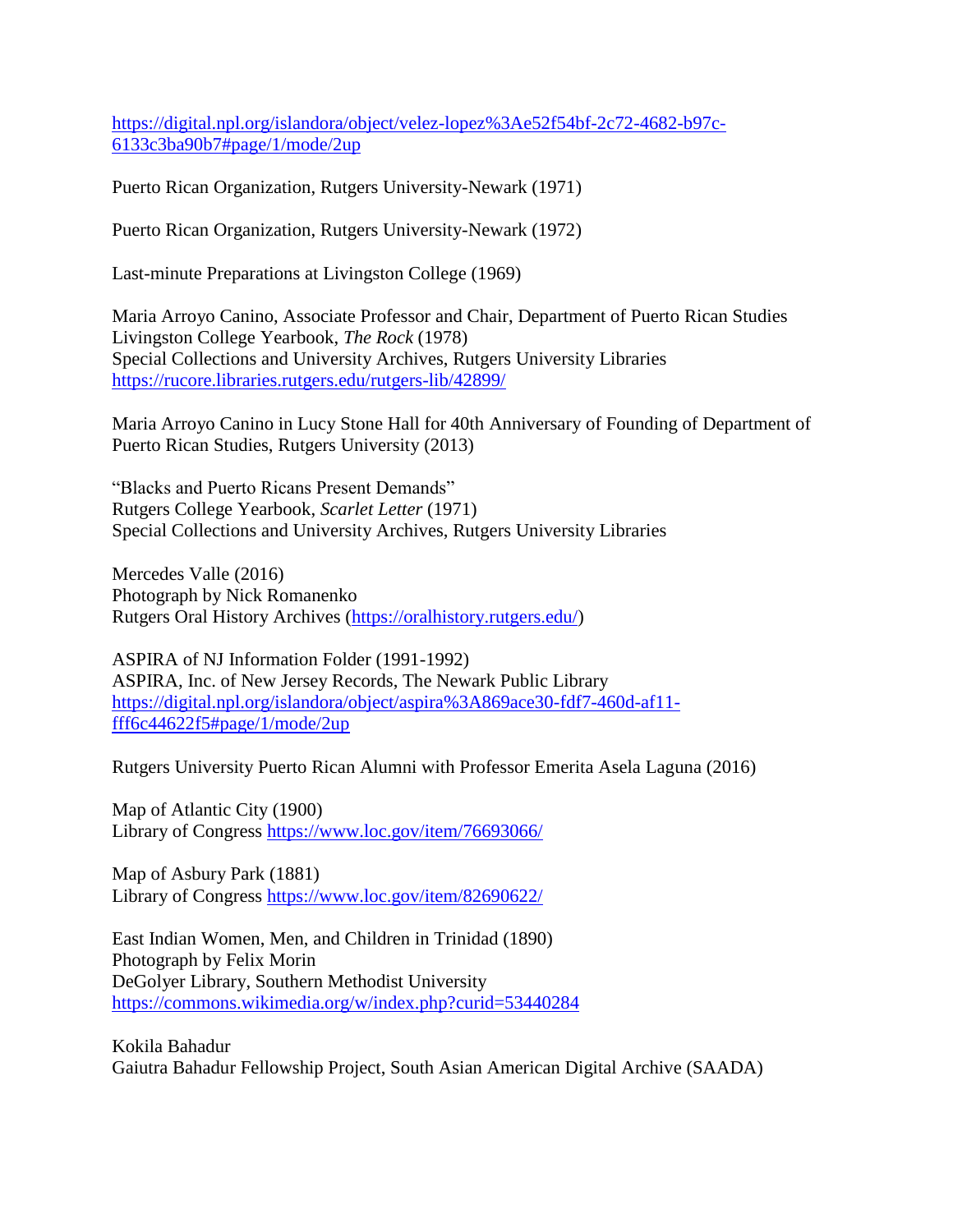[https://digital.npl.org/islandora/object/velez-lopez%3Ae52f54bf-2c72-4682-b97c-](https://digital.npl.org/islandora/object/velez-lopez%3Ae52f54bf-2c72-4682-b97c-6133c3ba90b7#page/1/mode/2up)[6133c3ba90b7#page/1/mode/2up](https://digital.npl.org/islandora/object/velez-lopez%3Ae52f54bf-2c72-4682-b97c-6133c3ba90b7#page/1/mode/2up)

Puerto Rican Organization, Rutgers University-Newark (1971)

Puerto Rican Organization, Rutgers University-Newark (1972)

Last-minute Preparations at Livingston College (1969)

Maria Arroyo Canino, Associate Professor and Chair, Department of Puerto Rican Studies Livingston College Yearbook, *The Rock* (1978) Special Collections and University Archives, Rutgers University Libraries <https://rucore.libraries.rutgers.edu/rutgers-lib/42899/>

Maria Arroyo Canino in Lucy Stone Hall for 40th Anniversary of Founding of Department of Puerto Rican Studies, Rutgers University (2013)

"Blacks and Puerto Ricans Present Demands" Rutgers College Yearbook, *Scarlet Letter* (1971) Special Collections and University Archives, Rutgers University Libraries

Mercedes Valle (2016) Photograph by Nick Romanenko Rutgers Oral History Archives [\(https://oralhistory.rutgers.edu/\)](https://oralhistory.rutgers.edu/)

ASPIRA of NJ Information Folder (1991-1992) ASPIRA, Inc. of New Jersey Records, The Newark Public Library [https://digital.npl.org/islandora/object/aspira%3A869ace30-fdf7-460d-af11](https://digital.npl.org/islandora/object/aspira%3A869ace30-fdf7-460d-af11-fff6c44622f5#page/1/mode/2up) [fff6c44622f5#page/1/mode/2up](https://digital.npl.org/islandora/object/aspira%3A869ace30-fdf7-460d-af11-fff6c44622f5#page/1/mode/2up)

Rutgers University Puerto Rican Alumni with Professor Emerita Asela Laguna (2016)

Map of Atlantic City (1900) Library of Congress <https://www.loc.gov/item/76693066/>

Map of Asbury Park (1881) Library of Congress<https://www.loc.gov/item/82690622/>

East Indian Women, Men, and Children in Trinidad (1890) Photograph by Felix Morin DeGolyer Library, Southern Methodist University <https://commons.wikimedia.org/w/index.php?curid=53440284>

Kokila Bahadur Gaiutra Bahadur Fellowship Project, South Asian American Digital Archive (SAADA)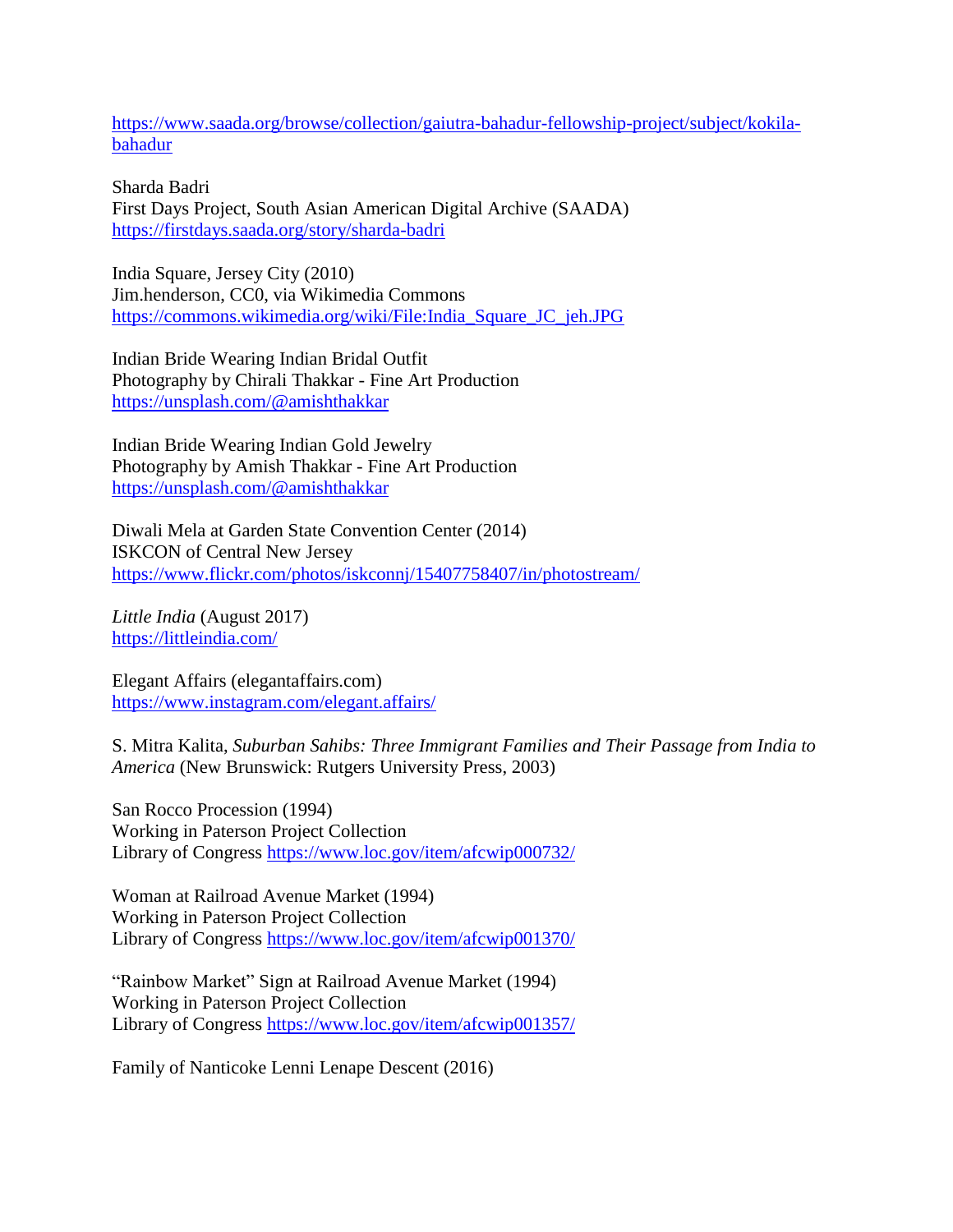[https://www.saada.org/browse/collection/gaiutra-bahadur-fellowship-project/subject/kokila](https://www.saada.org/browse/collection/gaiutra-bahadur-fellowship-project/subject/kokila-bahadur)[bahadur](https://www.saada.org/browse/collection/gaiutra-bahadur-fellowship-project/subject/kokila-bahadur)

Sharda Badri First Days Project, South Asian American Digital Archive (SAADA) <https://firstdays.saada.org/story/sharda-badri>

India Square, Jersey City (2010) Jim.henderson, CC0, via Wikimedia Commons [https://commons.wikimedia.org/wiki/File:India\\_Square\\_JC\\_jeh.JPG](https://commons.wikimedia.org/wiki/File:India_Square_JC_jeh.JPG)

Indian Bride Wearing Indian Bridal Outfit Photography by Chirali Thakkar - Fine Art Production <https://unsplash.com/@amishthakkar>

Indian Bride Wearing Indian Gold Jewelry Photography by Amish Thakkar - Fine Art Production <https://unsplash.com/@amishthakkar>

Diwali Mela at Garden State Convention Center (2014) ISKCON of Central New Jersey <https://www.flickr.com/photos/iskconnj/15407758407/in/photostream/>

*Little India* (August 2017) <https://littleindia.com/>

Elegant Affairs (elegantaffairs.com) <https://www.instagram.com/elegant.affairs/>

S. Mitra Kalita, *Suburban Sahibs: Three Immigrant Families and Their Passage from India to America* (New Brunswick: Rutgers University Press, 2003)

San Rocco Procession (1994) Working in Paterson Project Collection Library of Congress <https://www.loc.gov/item/afcwip000732/>

Woman at Railroad Avenue Market (1994) Working in Paterson Project Collection Library of Congress <https://www.loc.gov/item/afcwip001370/>

"Rainbow Market" Sign at Railroad Avenue Market (1994) Working in Paterson Project Collection Library of Congress <https://www.loc.gov/item/afcwip001357/>

Family of Nanticoke Lenni Lenape Descent (2016)